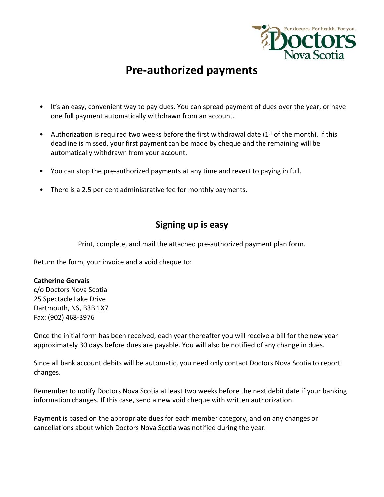

## **Pre‐authorized payments**

- It's an easy, convenient way to pay dues. You can spread payment of dues over the year, or have one full payment automatically withdrawn from an account.
- Authorization is required two weeks before the first withdrawal date ( $1<sup>st</sup>$  of the month). If this deadline is missed, your first payment can be made by cheque and the remaining will be automatically withdrawn from your account.
- You can stop the pre-authorized payments at any time and revert to paying in full.
- There is a 2.5 per cent administrative fee for monthly payments.

## **Signing up is easy**

Print, complete, and mail the attached pre‐authorized payment plan form.

Return the form, your invoice and a void cheque to:

## **Catherine Gervais**

c/o Doctors Nova Scotia 25 Spectacle Lake Drive Dartmouth, NS, B3B 1X7 Fax: (902) 468‐3976

Once the initial form has been received, each year thereafter you will receive a bill for the new year approximately 30 days before dues are payable. You will also be notified of any change in dues.

Since all bank account debits will be automatic, you need only contact Doctors Nova Scotia to report changes.

Remember to notify Doctors Nova Scotia at least two weeks before the next debit date if your banking information changes. If this case, send a new void cheque with written authorization.

Payment is based on the appropriate dues for each member category, and on any changes or cancellations about which Doctors Nova Scotia was notified during the year.